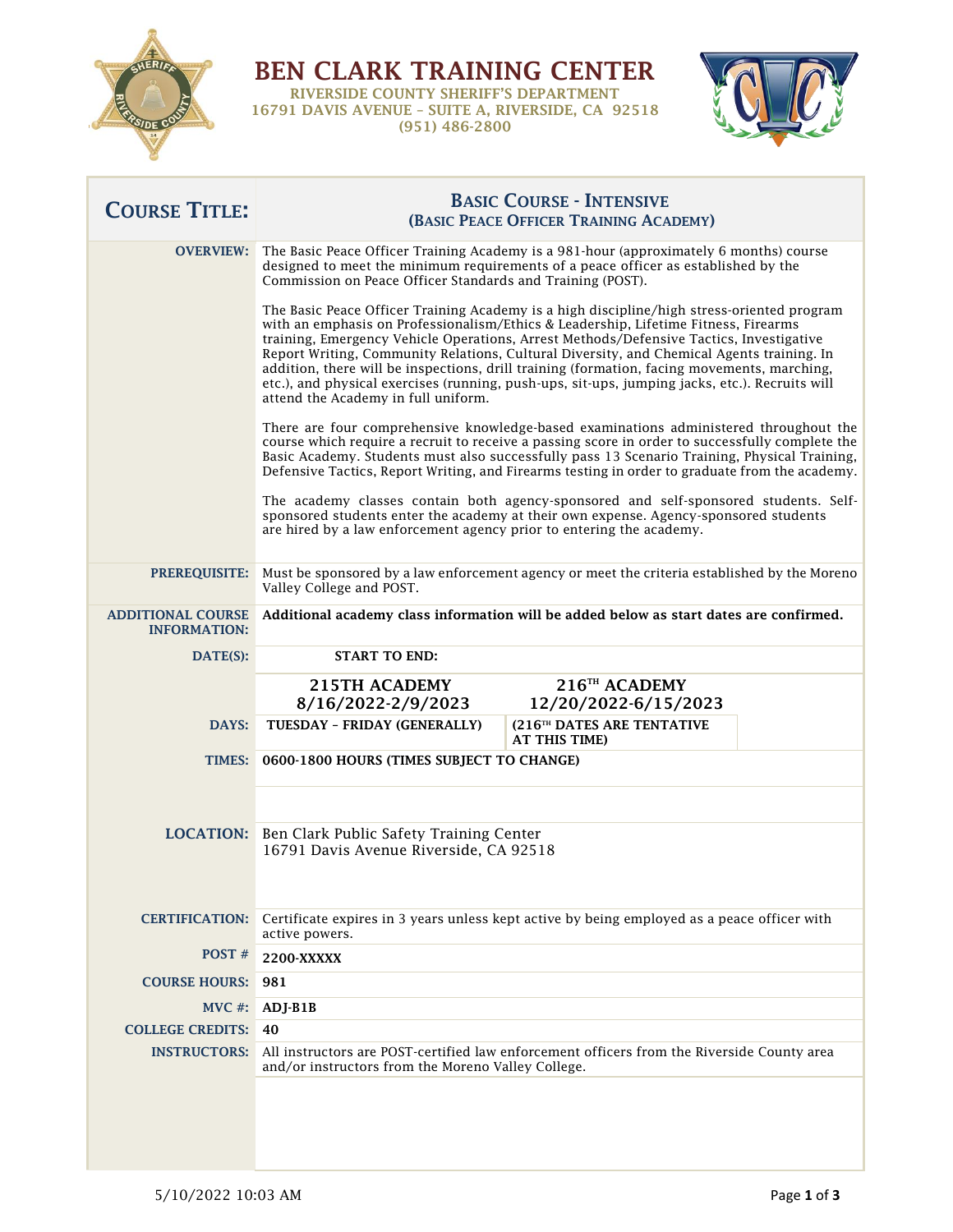

BEN CLARK TRAINING CENTER RIVERSIDE COUNTY SHERIFF'S DEPARTMENT 16791 DAVIS AVENUE – SUITE A, RIVERSIDE, CA 92518 (951) 486-2800



٦

| <b>COURSE TITLE:</b>                            | <b>BASIC COURSE - INTENSIVE</b><br>(BASIC PEACE OFFICER TRAINING ACADEMY)                                                                                                                                                                                                                                                                                                                                                                                                                                                                                                                                         |
|-------------------------------------------------|-------------------------------------------------------------------------------------------------------------------------------------------------------------------------------------------------------------------------------------------------------------------------------------------------------------------------------------------------------------------------------------------------------------------------------------------------------------------------------------------------------------------------------------------------------------------------------------------------------------------|
| <b>OVERVIEW:</b>                                | The Basic Peace Officer Training Academy is a 981-hour (approximately 6 months) course<br>designed to meet the minimum requirements of a peace officer as established by the<br>Commission on Peace Officer Standards and Training (POST).                                                                                                                                                                                                                                                                                                                                                                        |
|                                                 | The Basic Peace Officer Training Academy is a high discipline/high stress-oriented program<br>with an emphasis on Professionalism/Ethics & Leadership, Lifetime Fitness, Firearms<br>training, Emergency Vehicle Operations, Arrest Methods/Defensive Tactics, Investigative<br>Report Writing, Community Relations, Cultural Diversity, and Chemical Agents training. In<br>addition, there will be inspections, drill training (formation, facing movements, marching,<br>etc.), and physical exercises (running, push-ups, sit-ups, jumping jacks, etc.). Recruits will<br>attend the Academy in full uniform. |
|                                                 | There are four comprehensive knowledge-based examinations administered throughout the<br>course which require a recruit to receive a passing score in order to successfully complete the<br>Basic Academy. Students must also successfully pass 13 Scenario Training, Physical Training,<br>Defensive Tactics, Report Writing, and Firearms testing in order to graduate from the academy.                                                                                                                                                                                                                        |
|                                                 | The academy classes contain both agency-sponsored and self-sponsored students. Self-<br>sponsored students enter the academy at their own expense. Agency-sponsored students<br>are hired by a law enforcement agency prior to entering the academy.                                                                                                                                                                                                                                                                                                                                                              |
| <b>PREREQUISITE:</b>                            | Must be sponsored by a law enforcement agency or meet the criteria established by the Moreno<br>Valley College and POST.                                                                                                                                                                                                                                                                                                                                                                                                                                                                                          |
| <b>ADDITIONAL COURSE</b><br><b>INFORMATION:</b> | Additional academy class information will be added below as start dates are confirmed.                                                                                                                                                                                                                                                                                                                                                                                                                                                                                                                            |
| DATE(S):                                        | <b>START TO END:</b>                                                                                                                                                                                                                                                                                                                                                                                                                                                                                                                                                                                              |
|                                                 | 216 <sup>TH</sup> ACADEMY<br>215TH ACADEMY<br>8/16/2022-2/9/2023<br>12/20/2022-6/15/2023                                                                                                                                                                                                                                                                                                                                                                                                                                                                                                                          |
| DAYS:                                           | (216TH DATES ARE TENTATIVE<br>TUESDAY - FRIDAY (GENERALLY)<br>AT THIS TIME)                                                                                                                                                                                                                                                                                                                                                                                                                                                                                                                                       |
| TIMES:                                          | 0600-1800 HOURS (TIMES SUBJECT TO CHANGE)                                                                                                                                                                                                                                                                                                                                                                                                                                                                                                                                                                         |
|                                                 | <b>LOCATION:</b> Ben Clark Public Safety Training Center<br>16791 Davis Avenue Riverside, CA 92518                                                                                                                                                                                                                                                                                                                                                                                                                                                                                                                |
| <b>CERTIFICATION:</b>                           | Certificate expires in 3 years unless kept active by being employed as a peace officer with<br>active powers.                                                                                                                                                                                                                                                                                                                                                                                                                                                                                                     |
| POST#                                           | 2200-XXXXX                                                                                                                                                                                                                                                                                                                                                                                                                                                                                                                                                                                                        |
| <b>COURSE HOURS:</b>                            | 981                                                                                                                                                                                                                                                                                                                                                                                                                                                                                                                                                                                                               |
| $MVC \#$ :                                      | ADJ-B1B                                                                                                                                                                                                                                                                                                                                                                                                                                                                                                                                                                                                           |
| <b>COLLEGE CREDITS:</b>                         | 40                                                                                                                                                                                                                                                                                                                                                                                                                                                                                                                                                                                                                |
| <b>INSTRUCTORS:</b>                             | All instructors are POST-certified law enforcement officers from the Riverside County area<br>and/or instructors from the Moreno Valley College.                                                                                                                                                                                                                                                                                                                                                                                                                                                                  |
|                                                 |                                                                                                                                                                                                                                                                                                                                                                                                                                                                                                                                                                                                                   |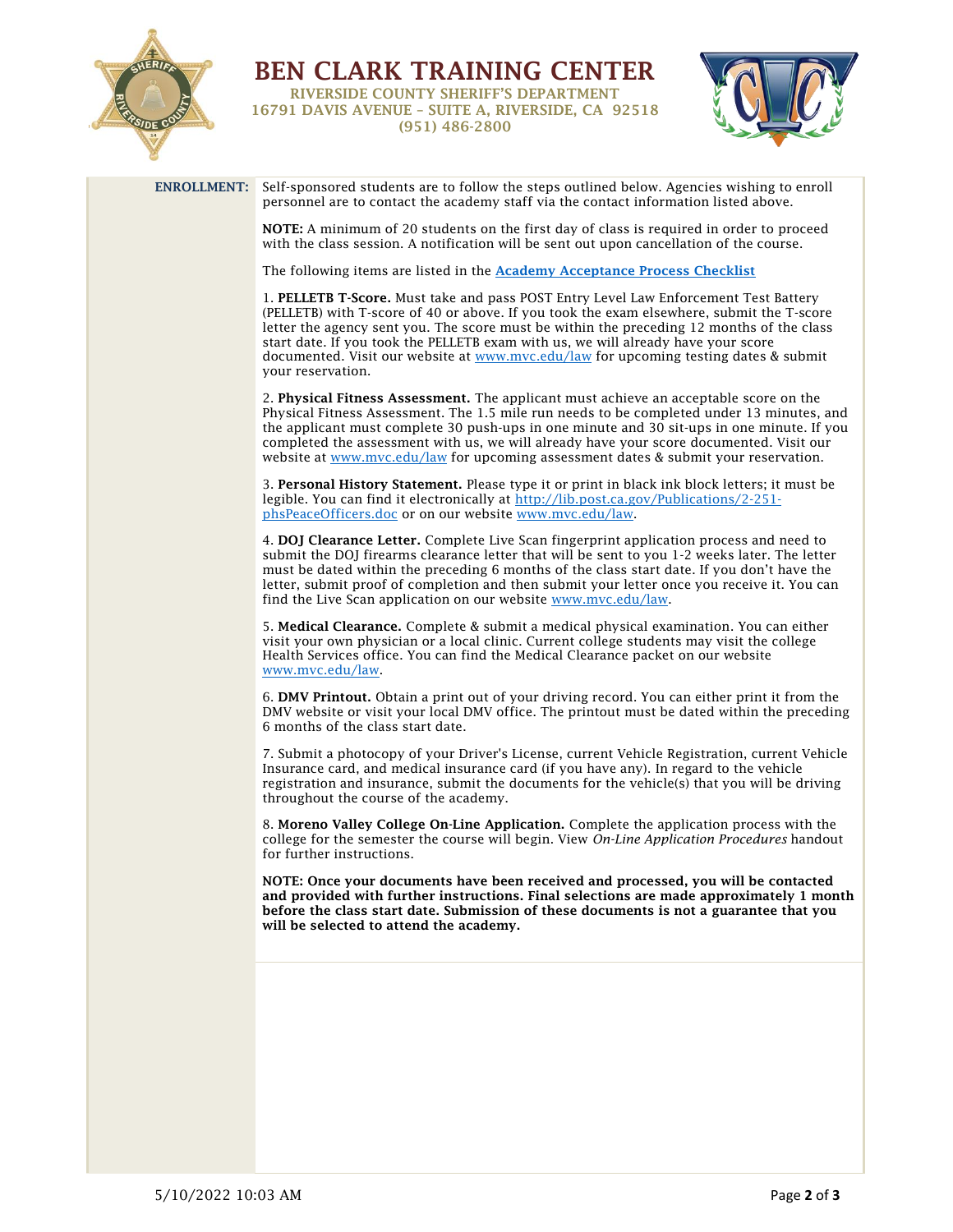

BEN CLARK TRAINING CENTER RIVERSIDE COUNTY SHERIFF'S DEPARTMENT 16791 DAVIS AVENUE – SUITE A, RIVERSIDE, CA 92518 (951) 486-2800



| ENROLLMENT: Self-sponsored students are to follow the steps outlined below. Agencies wishing to enroll<br>personnel are to contact the academy staff via the contact information listed above.                                                                                                                                                                                                                                                                                   |
|----------------------------------------------------------------------------------------------------------------------------------------------------------------------------------------------------------------------------------------------------------------------------------------------------------------------------------------------------------------------------------------------------------------------------------------------------------------------------------|
| NOTE: A minimum of 20 students on the first day of class is required in order to proceed<br>with the class session. A notification will be sent out upon cancellation of the course.                                                                                                                                                                                                                                                                                             |
| The following items are listed in the <b>Academy Acceptance Process Checklist</b>                                                                                                                                                                                                                                                                                                                                                                                                |
| 1. PELLETB T-Score. Must take and pass POST Entry Level Law Enforcement Test Battery<br>(PELLETB) with T-score of 40 or above. If you took the exam elsewhere, submit the T-score<br>letter the agency sent you. The score must be within the preceding 12 months of the class<br>start date. If you took the PELLETB exam with us, we will already have your score<br>documented. Visit our website at www.mvc.edu/law for upcoming testing dates & submit<br>vour reservation. |
| 2. Physical Fitness Assessment. The applicant must achieve an acceptable score on the<br>Physical Fitness Assessment. The 1.5 mile run needs to be completed under 13 minutes, and<br>the applicant must complete 30 push-ups in one minute and 30 sit-ups in one minute. If you<br>completed the assessment with us, we will already have your score documented. Visit our<br>website at www.mvc.edu/law for upcoming assessment dates & submit your reservation.               |
| 3. Personal History Statement. Please type it or print in black ink block letters; it must be<br>legible. You can find it electronically at http://lib.post.ca.gov/Publications/2-251-<br>phsPeaceOfficers.doc or on our website www.mvc.edu/law.                                                                                                                                                                                                                                |
| 4. DOJ Clearance Letter. Complete Live Scan fingerprint application process and need to<br>submit the DOJ firearms clearance letter that will be sent to you 1-2 weeks later. The letter<br>must be dated within the preceding 6 months of the class start date. If you don't have the<br>letter, submit proof of completion and then submit your letter once you receive it. You can<br>find the Live Scan application on our website www.mvc.edu/law.                          |
| 5. Medical Clearance. Complete & submit a medical physical examination. You can either<br>visit your own physician or a local clinic. Current college students may visit the college<br>Health Services office. You can find the Medical Clearance packet on our website<br>www.mvc.edu/law.                                                                                                                                                                                     |
| 6. DMV Printout. Obtain a print out of your driving record. You can either print it from the<br>DMV website or visit your local DMV office. The printout must be dated within the preceding<br>6 months of the class start date.                                                                                                                                                                                                                                                 |
| 7. Submit a photocopy of your Driver's License, current Vehicle Registration, current Vehicle<br>Insurance card, and medical insurance card (if you have any). In regard to the vehicle<br>registration and insurance, submit the documents for the vehicle(s) that you will be driving<br>throughout the course of the academy.                                                                                                                                                 |
| 8. Moreno Valley College On-Line Application. Complete the application process with the<br>college for the semester the course will begin. View On-Line Application Procedures handout<br>for further instructions.                                                                                                                                                                                                                                                              |
| NOTE: Once your documents have been received and processed, you will be contacted<br>and provided with further instructions. Final selections are made approximately 1 month<br>before the class start date. Submission of these documents is not a guarantee that you<br>will be selected to attend the academy.                                                                                                                                                                |
|                                                                                                                                                                                                                                                                                                                                                                                                                                                                                  |
|                                                                                                                                                                                                                                                                                                                                                                                                                                                                                  |
|                                                                                                                                                                                                                                                                                                                                                                                                                                                                                  |